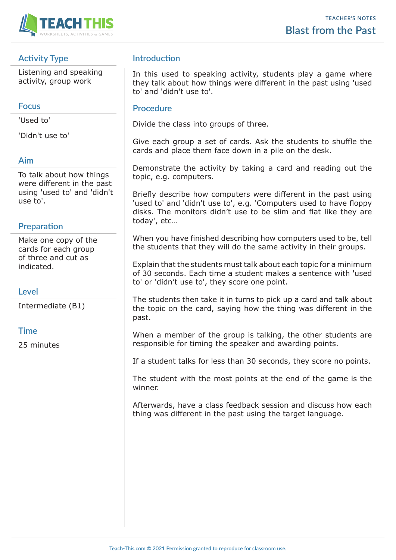

# **Activity Type**

Listening and speaking activity, group work

#### **Focus**

'Used to'

'Didn't use to'

### **Aim**

To talk about how things were different in the past using 'used to' and 'didn't use to'.

### **Preparation**

Make one copy of the cards for each group of three and cut as indicated.

### **Level**

Intermediate (B1)

### **Time**

25 minutes

# **Introduction**

In this used to speaking activity, students play a game where they talk about how things were different in the past using 'used to' and 'didn't use to'.

#### **Procedure**

Divide the class into groups of three.

Give each group a set of cards. Ask the students to shuffle the cards and place them face down in a pile on the desk.

Demonstrate the activity by taking a card and reading out the topic, e.g. computers.

Briefly describe how computers were different in the past using 'used to' and 'didn't use to', e.g. 'Computers used to have floppy disks. The monitors didn't use to be slim and flat like they are today', etc…

When you have finished describing how computers used to be, tell the students that they will do the same activity in their groups.

Explain that the students must talk about each topic for a minimum of 30 seconds. Each time a student makes a sentence with 'used to' or 'didn't use to', they score one point.

The students then take it in turns to pick up a card and talk about the topic on the card, saying how the thing was different in the past.

When a member of the group is talking, the other students are responsible for timing the speaker and awarding points.

If a student talks for less than 30 seconds, they score no points.

The student with the most points at the end of the game is the winner.

Afterwards, have a class feedback session and discuss how each thing was different in the past using the target language.